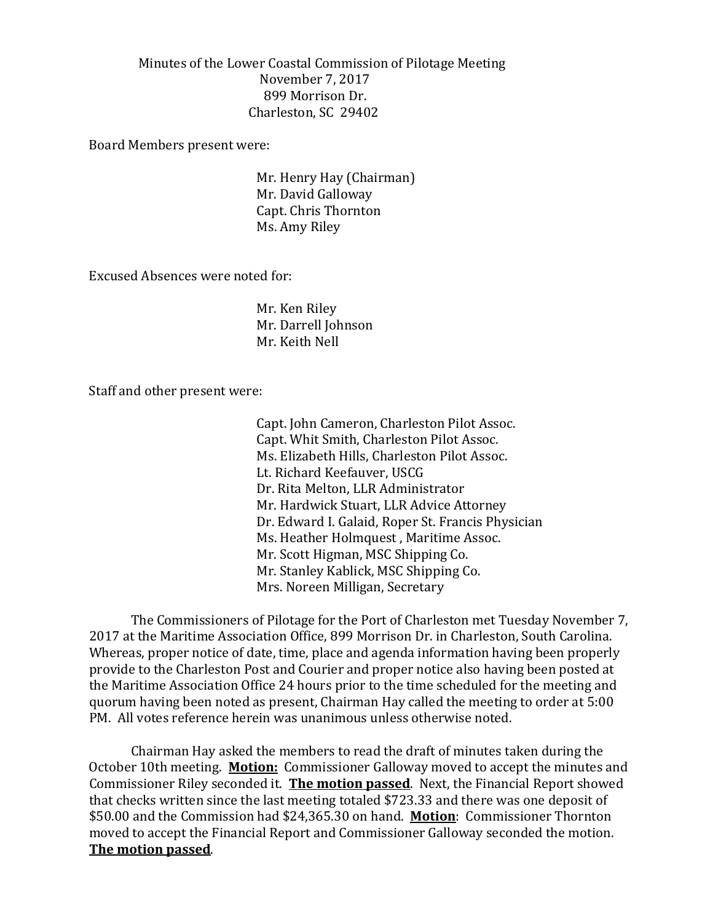Minutes of the Lower Coastal Commission of Pilotage Meeting November 7, 2017 899 Morrison Dr. Charleston, SC 29402

Board Members present were:

Mr. Henry Hay (Chairman) Mr. David Galloway Capt. Chris Thornton Ms. Amy Riley

Excused Absences were noted for:

Mr. Ken Riley Mr. Darrell Johnson Mr. Keith Nell

Staff and other present were:

Capt. John Cameron, Charleston Pilot Assoc. Capt. Whit Smith, Charleston Pilot Assoc. Ms. Elizabeth Hills, Charleston Pilot Assoc. Lt. Richard Keefauver, USCG Dr. Rita Melton, LLR Administrator Mr. Hardwick Stuart, LLR Advice Attorney Dr. Edward I. Galaid, Roper St. Francis Physician Ms. Heather Holmquest , Maritime Assoc. Mr. Scott Higman, MSC Shipping Co. Mr. Stanley Kablick, MSC Shipping Co. Mrs. Noreen Milligan, Secretary

The Commissioners of Pilotage for the Port of Charleston met Tuesday November 7, 2017 at the Maritime Association Office, 899 Morrison Dr. in Charleston, South Carolina. Whereas, proper notice of date, time, place and agenda information having been properly provide to the Charleston Post and Courier and proper notice also having been posted at the Maritime Association Office 24 hours prior to the time scheduled for the meeting and quorum having been noted as present, Chairman Hay called the meeting to order at 5:00 PM. All votes reference herein was unanimous unless otherwise noted.

Chairman Hay asked the members to read the draft of minutes taken during the October 10th meeting. **Motion:** Commissioner Galloway moved to accept the minutes and Commissioner Riley seconded it. **The motion passed**. Next, the Financial Report showed that checks written since the last meeting totaled \$723.33 and there was one deposit of \$50.00 and the Commission had \$24,365.30 on hand. **Motion**: Commissioner Thornton moved to accept the Financial Report and Commissioner Galloway seconded the motion. **The motion passed**.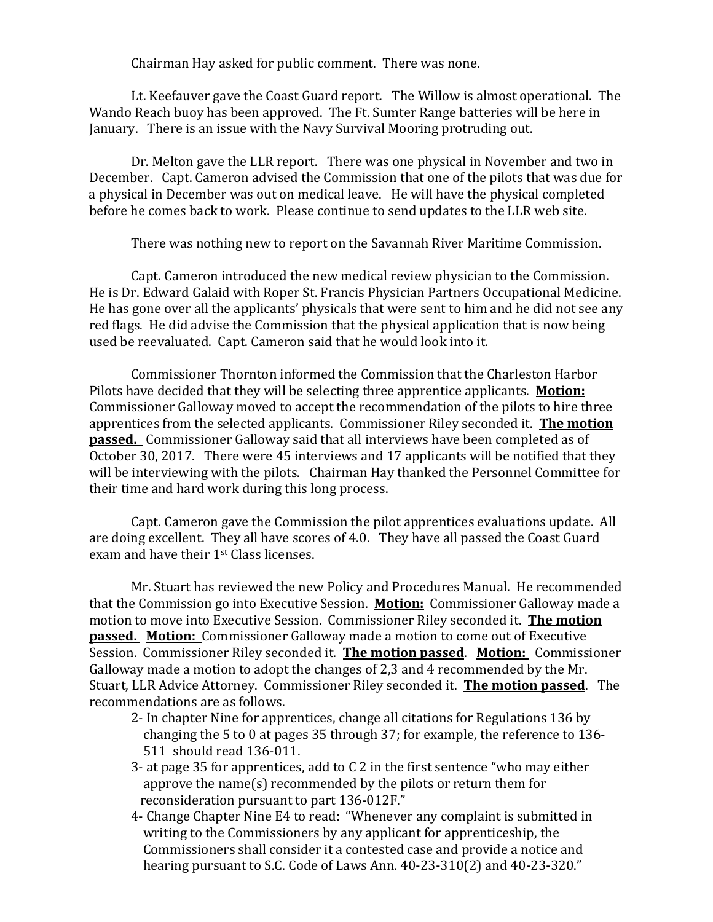Chairman Hay asked for public comment. There was none.

Lt. Keefauver gave the Coast Guard report. The Willow is almost operational. The Wando Reach buoy has been approved. The Ft. Sumter Range batteries will be here in January. There is an issue with the Navy Survival Mooring protruding out.

Dr. Melton gave the LLR report. There was one physical in November and two in December. Capt. Cameron advised the Commission that one of the pilots that was due for a physical in December was out on medical leave. He will have the physical completed before he comes back to work. Please continue to send updates to the LLR web site.

There was nothing new to report on the Savannah River Maritime Commission.

Capt. Cameron introduced the new medical review physician to the Commission. He is Dr. Edward Galaid with Roper St. Francis Physician Partners Occupational Medicine. He has gone over all the applicants' physicals that were sent to him and he did not see any red flags. He did advise the Commission that the physical application that is now being used be reevaluated. Capt. Cameron said that he would look into it.

Commissioner Thornton informed the Commission that the Charleston Harbor Pilots have decided that they will be selecting three apprentice applicants. **Motion:** Commissioner Galloway moved to accept the recommendation of the pilots to hire three apprentices from the selected applicants. Commissioner Riley seconded it. **The motion passed.** Commissioner Galloway said that all interviews have been completed as of October 30, 2017. There were 45 interviews and 17 applicants will be notified that they will be interviewing with the pilots. Chairman Hay thanked the Personnel Committee for their time and hard work during this long process.

Capt. Cameron gave the Commission the pilot apprentices evaluations update. All are doing excellent. They all have scores of 4.0. They have all passed the Coast Guard exam and have their 1st Class licenses.

Mr. Stuart has reviewed the new Policy and Procedures Manual. He recommended that the Commission go into Executive Session. **Motion:** Commissioner Galloway made a motion to move into Executive Session. Commissioner Riley seconded it. **The motion passed. Motion:** Commissioner Galloway made a motion to come out of Executive Session. Commissioner Riley seconded it. **The motion passed**. **Motion:** Commissioner Galloway made a motion to adopt the changes of 2,3 and 4 recommended by the Mr. Stuart, LLR Advice Attorney. Commissioner Riley seconded it. **The motion passed**. The recommendations are as follows.

- 2- In chapter Nine for apprentices, change all citations for Regulations 136 by changing the 5 to 0 at pages 35 through 37; for example, the reference to 136- 511 should read 136-011.
- 3- at page 35 for apprentices, add to C 2 in the first sentence "who may either approve the name(s) recommended by the pilots or return them for reconsideration pursuant to part 136-012F."
- 4- Change Chapter Nine E4 to read: "Whenever any complaint is submitted in writing to the Commissioners by any applicant for apprenticeship, the Commissioners shall consider it a contested case and provide a notice and hearing pursuant to S.C. Code of Laws Ann. 40-23-310(2) and 40-23-320."